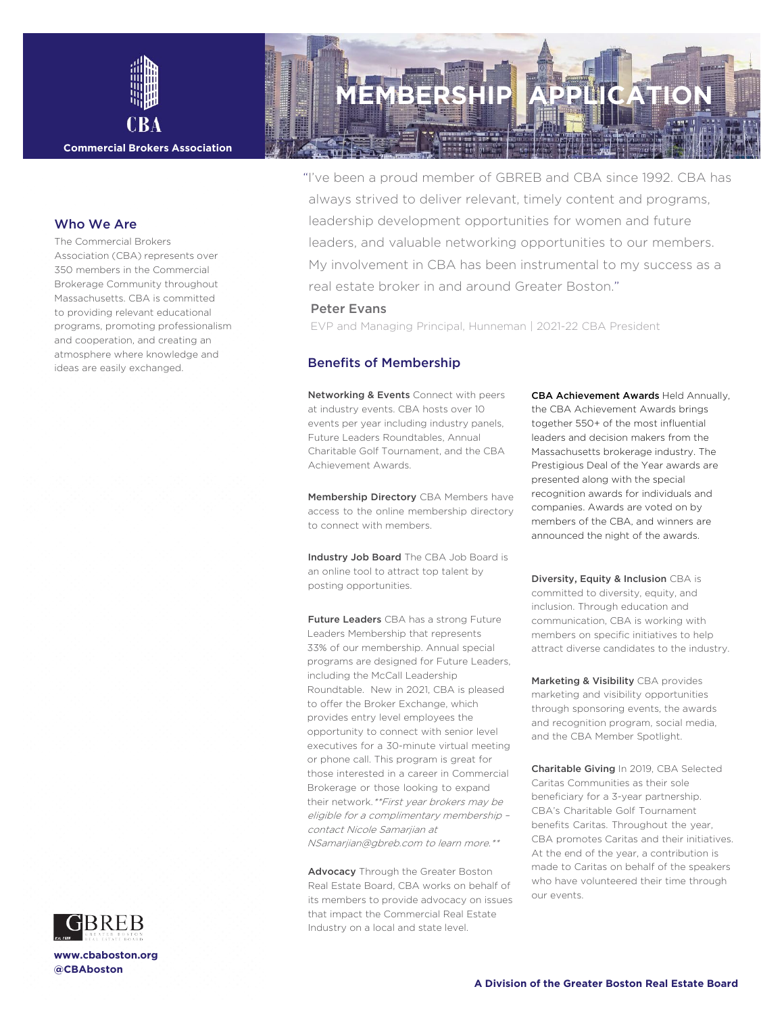

#### **Commercial Brokers Association**

### Who We Are

The Commercial Brokers Association (CBA) represents over 350 members in the Commercial Brokerage Community throughout Massachusetts. CBA is committed to providing relevant educational programs, promoting professionalism and cooperation, and creating an atmosphere where knowledge and ideas are easily exchanged.



**[www.cbaboston.org](http://www.cbaboston.org/) @CBAboston**

# **MEMBERS**

"I've been a proud member of GBREB and CBA since 1992. CBA has always strived to deliver relevant, timely content and programs, leadership development opportunities for women and future leaders, and valuable networking opportunities to our members. My involvement in CBA has been instrumental to my success as a real estate broker in and around Greater Boston."

### Peter Evans

EVP and Managing Principal, Hunneman | 2021-22 CBA President

## Benefits of Membership

Networking & Events Connect with peers at industry events. CBA hosts over 10 events per year including industry panels, Future Leaders Roundtables, Annual Charitable Golf Tournament, and the CBA Achievement Awards.

Membership Directory CBA Members have access to the online membership directory to connect with members.

Industry Job Board The CBA Job Board is an online tool to attract top talent by posting opportunities.

**Future Leaders** CBA has a strong Future Leaders Membership that represents 33% of our membership. Annual special programs are designed for Future Leaders, including the McCall Leadership Roundtable. New in 2021, CBA is pleased to offer the Broker Exchange, which provides entry level employees the opportunity to connect with senior level executives for a 30-minute virtual meeting or phone call. This program is great for those interested in a career in Commercial Brokerage or those looking to expand their network.\*\*First year brokers may be eligible for a complimentary membership – contact Nicole Samarjian at NSamarjian@gbreb.com to learn more.\*\*

Advocacy Through the Greater Boston Real Estate Board, CBA works on behalf of its members to provide advocacy on issues that impact the Commercial Real Estate Industry on a local and state level.

CBA Achievement Awards Held Annually, the CBA Achievement Awards brings together 550+ of the most influential leaders and decision makers from the Massachusetts brokerage industry. The Prestigious Deal of the Year awards are presented along with the special recognition awards for individuals and companies. Awards are voted on by members of the CBA, and winners are announced the night of the awards.

Diversity, Equity & Inclusion CBA is committed to diversity, equity, and inclusion. Through education and communication, CBA is working with members on specific initiatives to help attract diverse candidates to the industry.

Marketing & Visibility CBA provides marketing and visibility opportunities through sponsoring events, the awards and recognition program, social media, and the CBA Member Spotlight.

Charitable Giving In 2019, CBA Selected Caritas Communities as their sole beneficiary for a 3-year partnership. CBA's Charitable Golf Tournament benefits Caritas. Throughout the year, CBA promotes Caritas and their initiatives. At the end of the year, a contribution is made to Caritas on behalf of the speakers who have volunteered their time through our events.